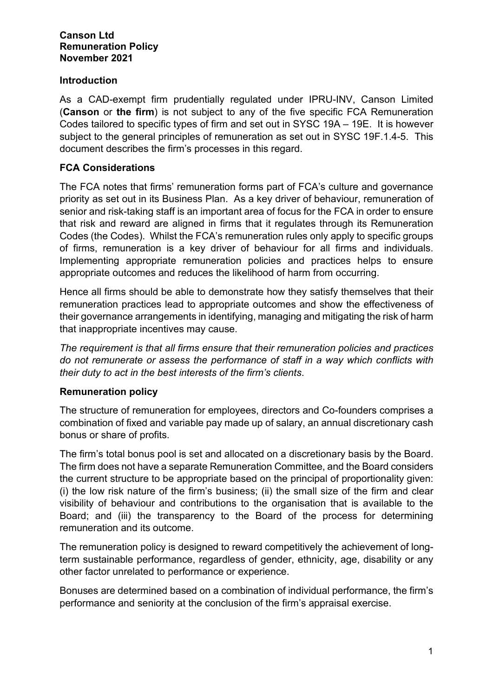#### **Canson Ltd Remuneration Policy November 2021**

## **Introduction**

As a CAD-exempt firm prudentially regulated under IPRU-INV, Canson Limited (**Canson** or **the firm**) is not subject to any of the five specific FCA Remuneration Codes tailored to specific types of firm and set out in SYSC 19A – 19E. It is however subject to the general principles of remuneration as set out in SYSC 19F.1.4-5. This document describes the firm's processes in this regard.

# **FCA Considerations**

The FCA notes that firms' remuneration forms part of FCA's culture and governance priority as set out in its Business Plan. As a key driver of behaviour, remuneration of senior and risk-taking staff is an important area of focus for the FCA in order to ensure that risk and reward are aligned in firms that it regulates through its Remuneration Codes (the Codes). Whilst the FCA's remuneration rules only apply to specific groups of firms, remuneration is a key driver of behaviour for all firms and individuals. Implementing appropriate remuneration policies and practices helps to ensure appropriate outcomes and reduces the likelihood of harm from occurring.

Hence all firms should be able to demonstrate how they satisfy themselves that their remuneration practices lead to appropriate outcomes and show the effectiveness of their governance arrangements in identifying, managing and mitigating the risk of harm that inappropriate incentives may cause.

*The requirement is that all firms ensure that their remuneration policies and practices do not remunerate or assess the performance of staff in a way which conflicts with their duty to act in the best interests of the firm's clients*.

## **Remuneration policy**

The structure of remuneration for employees, directors and Co-founders comprises a combination of fixed and variable pay made up of salary, an annual discretionary cash bonus or share of profits.

The firm's total bonus pool is set and allocated on a discretionary basis by the Board. The firm does not have a separate Remuneration Committee, and the Board considers the current structure to be appropriate based on the principal of proportionality given: (i) the low risk nature of the firm's business; (ii) the small size of the firm and clear visibility of behaviour and contributions to the organisation that is available to the Board; and (iii) the transparency to the Board of the process for determining remuneration and its outcome.

The remuneration policy is designed to reward competitively the achievement of longterm sustainable performance, regardless of gender, ethnicity, age, disability or any other factor unrelated to performance or experience.

Bonuses are determined based on a combination of individual performance, the firm's performance and seniority at the conclusion of the firm's appraisal exercise.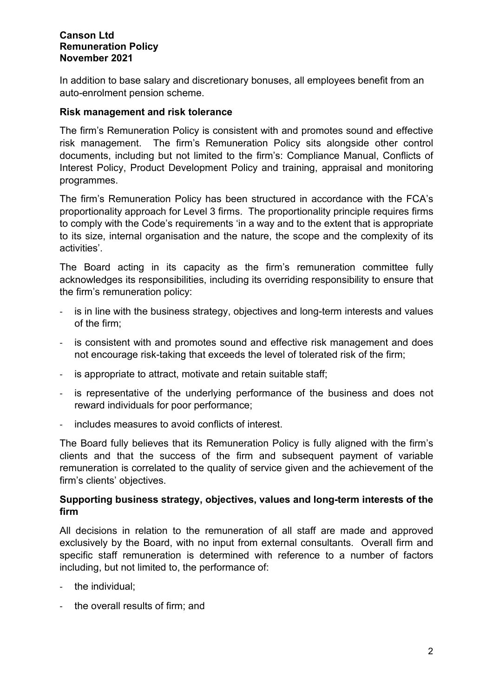#### **Canson Ltd Remuneration Policy November 2021**

In addition to base salary and discretionary bonuses, all employees benefit from an auto-enrolment pension scheme.

### **Risk management and risk tolerance**

The firm's Remuneration Policy is consistent with and promotes sound and effective risk management. The firm's Remuneration Policy sits alongside other control documents, including but not limited to the firm's: Compliance Manual, Conflicts of Interest Policy, Product Development Policy and training, appraisal and monitoring programmes.

The firm's Remuneration Policy has been structured in accordance with the FCA's proportionality approach for Level 3 firms. The proportionality principle requires firms to comply with the Code's requirements 'in a way and to the extent that is appropriate to its size, internal organisation and the nature, the scope and the complexity of its activities'.

The Board acting in its capacity as the firm's remuneration committee fully acknowledges its responsibilities, including its overriding responsibility to ensure that the firm's remuneration policy:

- is in line with the business strategy, objectives and long-term interests and values of the firm;
- is consistent with and promotes sound and effective risk management and does not encourage risk-taking that exceeds the level of tolerated risk of the firm;
- is appropriate to attract, motivate and retain suitable staff;
- is representative of the underlying performance of the business and does not reward individuals for poor performance;
- includes measures to avoid conflicts of interest.

The Board fully believes that its Remuneration Policy is fully aligned with the firm's clients and that the success of the firm and subsequent payment of variable remuneration is correlated to the quality of service given and the achievement of the firm's clients' objectives.

## **Supporting business strategy, objectives, values and long-term interests of the firm**

All decisions in relation to the remuneration of all staff are made and approved exclusively by the Board, with no input from external consultants. Overall firm and specific staff remuneration is determined with reference to a number of factors including, but not limited to, the performance of:

- the individual;
- the overall results of firm; and